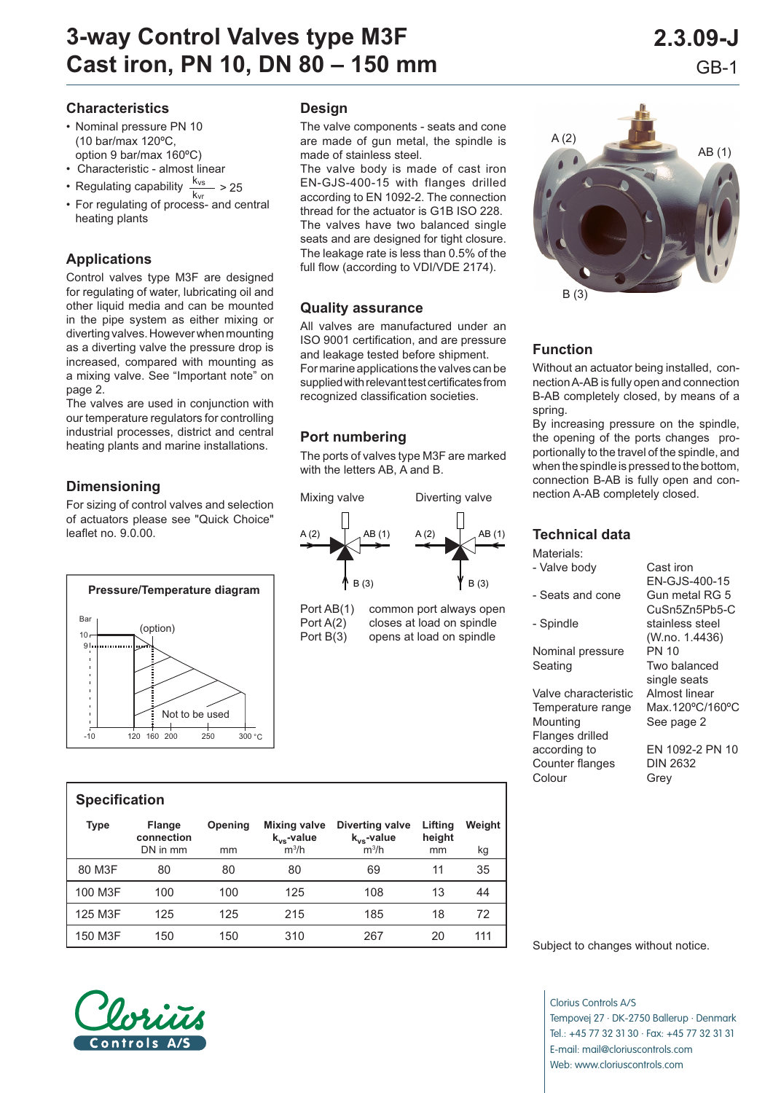#### **Characteristics**

- Nominal pressure PN 10 (10 bar/max 120ºC,
- 
- 
- Regulating capability  $\frac{k_{vs}}{k_{vr}} > 25$ <br>• For regulating of process- and central

#### **Applications**

Control valves type M3F are designed for regulating of water, lubricating oil and other liquid media and can be mounted in the pipe system as either mixing or diverting valves. However when mounting as a diverting valve the pressure drop is increased, compared with mounting as a mixing valve. See "Important note" on page 2.

The valves are used in conjunction with our temperature regulators for controlling industrial processes, district and central heating plants and marine installations.

### **Dimensioning**

For sizing of control valves and selection of actuators please see "Quick Choice" leaflet no. 9.0.00.



#### **Specification**

| <b>Type</b> | <b>Flange</b><br>connection<br>DN in mm | Opening<br>mm | <b>Mixing valve</b><br>$k_{vs}$ -value<br>$m^3/h$ | <b>Diverting valve</b><br>$k_{vs}$ -value<br>$m^3/h$ | Lifting<br>height<br>mm | Weight<br>kg |
|-------------|-----------------------------------------|---------------|---------------------------------------------------|------------------------------------------------------|-------------------------|--------------|
| 80 M3F      | 80                                      | 80            | 80                                                | 69                                                   | 11                      | 35           |
| 100 M3F     | 100                                     | 100           | 125                                               | 108                                                  | 13                      | 44           |
| 125 M3F     | 125                                     | 125           | 215                                               | 185                                                  | 18                      | 72           |
| 150 M3F     | 150                                     | 150           | 310                                               | 267                                                  | 20                      | 111          |

# option 9 bar/max 160ºC)

- Characteristic almost linear
- 
- heating plants

#### **Design**

The valve components - seats and cone are made of gun metal, the spindle is made of stainless steel.

The valve body is made of cast iron EN-GJS-400-15 with flanges drilled according to EN 1092-2. The connection thread for the actuator is G1B ISO 228. The valves have two balanced single seats and are designed for tight closure. The leakage rate is less than 0.5% of the full flow (according to VDI/VDE 2174).

#### **Quality assurance**

All valves are manufactured under an ISO 9001 certification, and are pressure and leakage tested before shipment. For marine applications the valves can be supplied with relevant test certificates from recognized classification societies.

# **Port numbering**

The ports of valves type M3F are marked with the letters AB, A and B.



Port AB(1) common port always Port  $A(2)$  closes at load on spin Port  $B(3)$  opens at load on spin



### **Function**

Without an actuator being installed, connection A-AB is fully open and connection B-AB completely closed, by means of a spring.

By increasing pressure on the spindle, the opening of the ports changes proportionally to the travel of the spindle, and when the spindle is pressed to the bottom, connection B-AB is fully open and connection A-AB completely closed.

# **Technical data**

|      | Materials:                  |                     |
|------|-----------------------------|---------------------|
|      | - Valve body                | Cast<br>EN-0        |
| 3)   | - Seats and cone            | Gun                 |
| open |                             | CuS                 |
| ıdle | - Spindle                   | stain               |
| dle  |                             | (W.n)<br><b>PN1</b> |
|      | Nominal pressure<br>Seating | Two                 |
|      |                             | singl               |
|      | Valve characteristic        | Almo                |
|      | Temperature range           | Max.                |
|      | Mounting                    | See                 |
|      | Flanges drilled             |                     |
|      | according to                | EN <sub>1</sub>     |
|      | Counter flanges             | DIN :               |
|      | Colour                      | Grey                |
|      |                             |                     |
|      |                             |                     |

ast iron N-GJS-400-15 un metal RG 5 CuSn5Zn5Pb5-C ainless steel (W.no. 1.4436) N 10 wo balanced ngle seats most linear ax.120°C/160°C ee page 2

N 1092-2 PN 10 Counter flanges DIN 2632

Subject to changes without notice.

Clorius Controls A/S Tempovej 27 · DK-2750 Ballerup · Denmark Tel.: +45 77 32 31 30 · Fax: +45 77 32 31 31 E-mail: mail@cloriuscontrols.com Web: www.cloriuscontrols.com